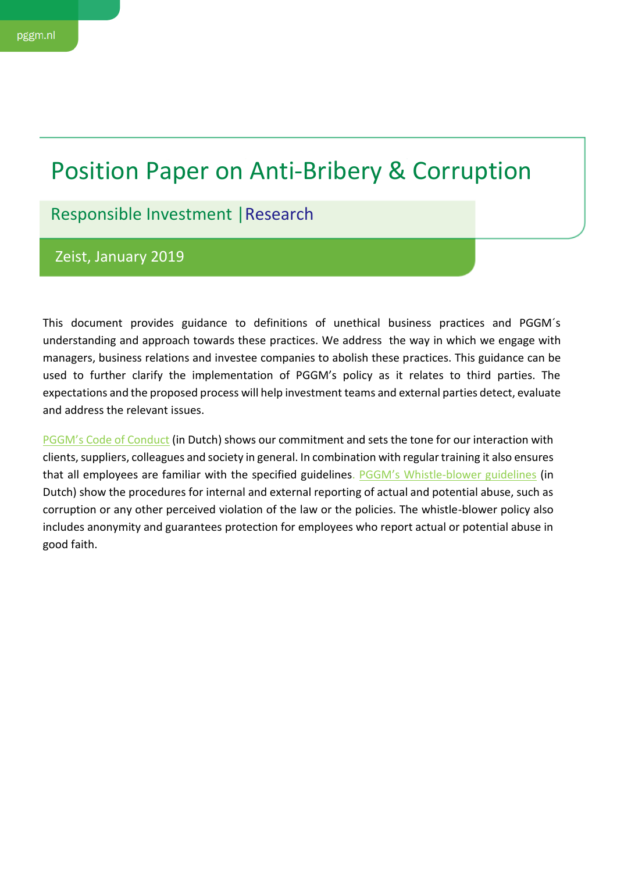# Position Paper on Anti-Bribery & Corruption

Responsible Investment |Research

Zeist, January 2019

This document provides guidance to definitions of unethical business practices and PGGM´s understanding and approach towards these practices. We address the way in which we engage with managers, business relations and investee companies to abolish these practices. This guidance can be used to further clarify the implementation of PGGM's policy as it relates to third parties. The expectations and the proposed process will help investment teams and external parties detect, evaluate and address the relevant issues.

[PGGM's Code of Conduct](https://www.google.com/url?sa=t&rct=j&q=&esrc=s&source=web&cd=1&ved=2ahUKEwiR75WEqbzcAhXNmLQKHezPDCMQFjAAegQIABAC&url=https%3A%2F%2Fwww.pggm.nl%2Fwie-zijn-we%2FDocuments%2Fgedragscode-pggm_2015.pdf&usg=AOvVaw3B9rfJn1ClSmIQ1UV3xDM2) (in Dutch) shows our commitment and sets the tone for our interaction with clients, suppliers, colleagues and society in general. In combination with regular training it also ensures that all employees are familiar with the specified guidelines. [PGGM's Whistle](https://www.google.com/url?sa=t&rct=j&q=&esrc=s&source=web&cd=3&ved=2ahUKEwjNl56wqbzcAhVQZ1AKHWhzAgIQFjACegQIABAC&url=https%3A%2F%2Fwww.pggm.nl%2Fwie-zijn-we%2FDocuments%2Fklokkenluiderregeling-pggm_2015.pdf&usg=AOvVaw0UDpgV-IUaAcl-qud7sO8K)-blower guidelines (in Dutch) show the procedures for internal and external reporting of actual and potential abuse, such as corruption or any other perceived violation of the law or the policies. The whistle-blower policy also includes anonymity and guarantees protection for employees who report actual or potential abuse in good faith.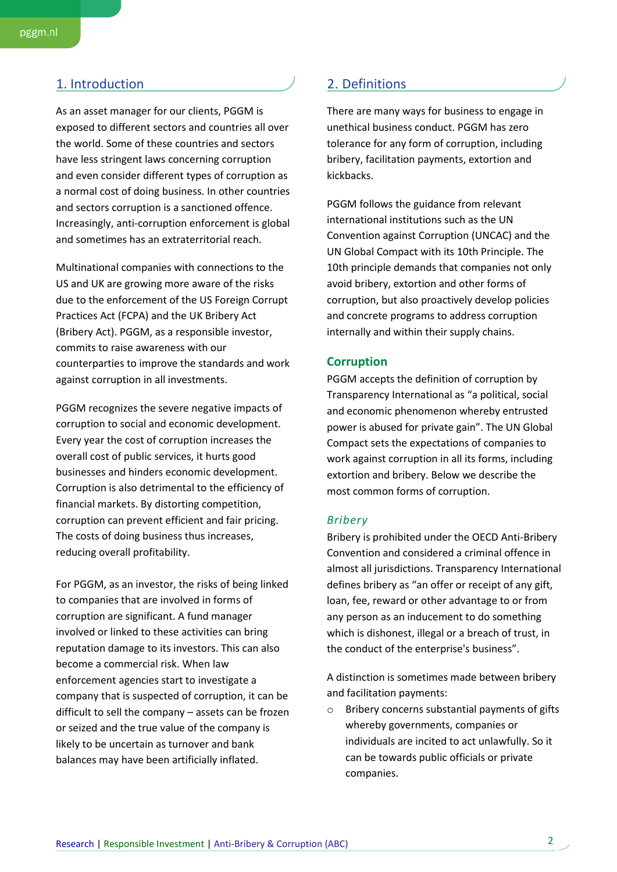# 1. Introduction 2. Definitions

As an asset manager for our clients, PGGM is exposed to different sectors and countries all over the world. Some of these countries and sectors have less stringent laws concerning corruption and even consider different types of corruption as a normal cost of doing business. In other countries and sectors corruption is a sanctioned offence. Increasingly, anti-corruption enforcement is global and sometimes has an extraterritorial reach.

Multinational companies with connections to the US and UK are growing more aware of the risks due to the enforcement of the US Foreign Corrupt Practices Act (FCPA) and the UK Bribery Act (Bribery Act). PGGM, as a responsible investor, commits to raise awareness with our counterparties to improve the standards and work against corruption in all investments.

PGGM recognizes the severe negative impacts of corruption to social and economic development. Every year the cost of corruption increases the overall cost of public services, it hurts good businesses and hinders economic development. Corruption is also detrimental to the efficiency of financial markets. By distorting competition, corruption can prevent efficient and fair pricing. The costs of doing business thus increases, reducing overall profitability.

For PGGM, as an investor, the risks of being linked to companies that are involved in forms of corruption are significant. A fund manager involved or linked to these activities can bring reputation damage to its investors. This can also become a commercial risk. When law enforcement agencies start to investigate a company that is suspected of corruption, it can be difficult to sell the company – assets can be frozen or seized and the true value of the company is likely to be uncertain as turnover and bank balances may have been artificially inflated.

There are many ways for business to engage in unethical business conduct. PGGM has zero tolerance for any form of corruption, including bribery, facilitation payments, extortion and kickbacks.

PGGM follows the guidance from relevant international institutions such as the UN Convention against Corruption (UNCAC) and the UN Global Compact with its 10th Principle. The 10th principle demands that companies not only avoid bribery, extortion and other forms of corruption, but also proactively develop policies and concrete programs to address corruption internally and within their supply chains.

# **Corruption**

PGGM accepts the definition of corruption by Transparency International as "a political, social and economic phenomenon whereby entrusted power is abused for private gain". The UN Global Compact sets the expectations of companies to work against corruption in all its forms, including extortion and bribery. Below we describe the most common forms of corruption.

#### *Bribery*

Bribery is prohibited under the OECD Anti-Bribery Convention and considered a criminal offence in almost all jurisdictions. Transparency International defines bribery as "an offer or receipt of any gift, loan, fee, reward or other advantage to or from any person as an inducement to do something which is dishonest, illegal or a breach of trust, in the conduct of the enterprise's business".

A distinction is sometimes made between bribery and facilitation payments:

o Bribery concerns substantial payments of gifts whereby governments, companies or individuals are incited to act unlawfully. So it can be towards public officials or private companies.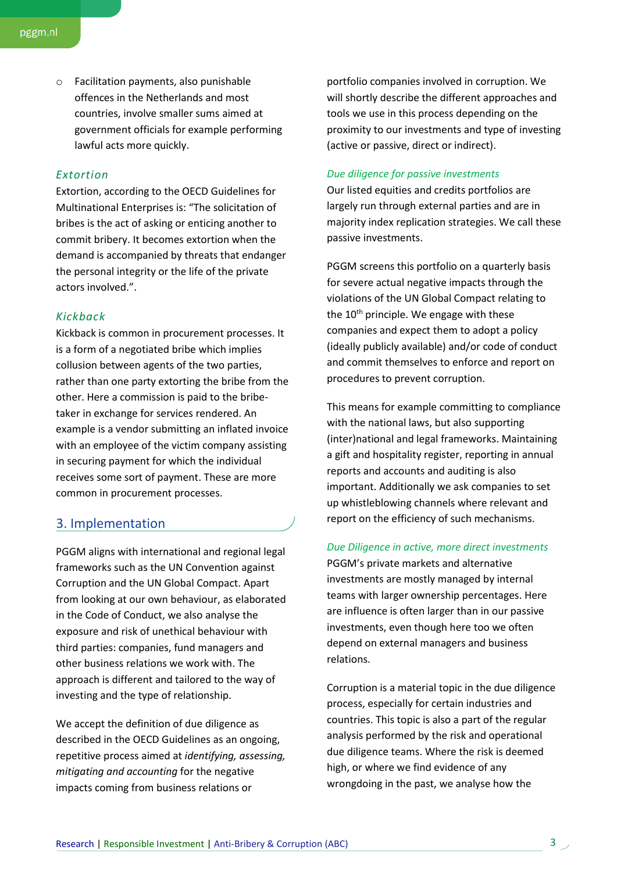o Facilitation payments, also punishable offences in the Netherlands and most countries, involve smaller sums aimed at government officials for example performing lawful acts more quickly.

# *Extortion*

Extortion, according to the OECD Guidelines for Multinational Enterprises is: "The solicitation of bribes is the act of asking or enticing another to commit bribery. It becomes extortion when the demand is accompanied by threats that endanger the personal integrity or the life of the private actors involved.".

### *Kickback*

Kickback is common in procurement processes. It is a form of a negotiated bribe which implies collusion between agents of the two parties, rather than one party extorting the bribe from the other. Here a commission is paid to the bribetaker in exchange for services rendered. An example is a vendor submitting an inflated invoice with an employee of the victim company assisting in securing payment for which the individual receives some sort of payment. These are more common in procurement processes.

# 3. Implementation

PGGM aligns with international and regional legal frameworks such as the UN Convention against Corruption and the UN Global Compact. Apart from looking at our own behaviour, as elaborated in the Code of Conduct, we also analyse the exposure and risk of unethical behaviour with third parties: companies, fund managers and other business relations we work with. The approach is different and tailored to the way of investing and the type of relationship.

We accept the definition of due diligence as described in the OECD Guidelines as an ongoing, repetitive process aimed at *identifying, assessing, mitigating and accounting* for the negative impacts coming from business relations or

portfolio companies involved in corruption. We will shortly describe the different approaches and tools we use in this process depending on the proximity to our investments and type of investing (active or passive, direct or indirect).

#### *Due diligence for passive investments*

Our listed equities and credits portfolios are largely run through external parties and are in majority index replication strategies. We call these passive investments.

PGGM screens this portfolio on a quarterly basis for severe actual negative impacts through the violations of the UN Global Compact relating to the  $10<sup>th</sup>$  principle. We engage with these companies and expect them to adopt a policy (ideally publicly available) and/or code of conduct and commit themselves to enforce and report on procedures to prevent corruption.

This means for example committing to compliance with the national laws, but also supporting (inter)national and legal frameworks. Maintaining a gift and hospitality register, reporting in annual reports and accounts and auditing is also important. Additionally we ask companies to set up whistleblowing channels where relevant and report on the efficiency of such mechanisms.

#### *Due Diligence in active, more direct investments*

PGGM's private markets and alternative investments are mostly managed by internal teams with larger ownership percentages. Here are influence is often larger than in our passive investments, even though here too we often depend on external managers and business relations.

Corruption is a material topic in the due diligence process, especially for certain industries and countries. This topic is also a part of the regular analysis performed by the risk and operational due diligence teams. Where the risk is deemed high, or where we find evidence of any wrongdoing in the past, we analyse how the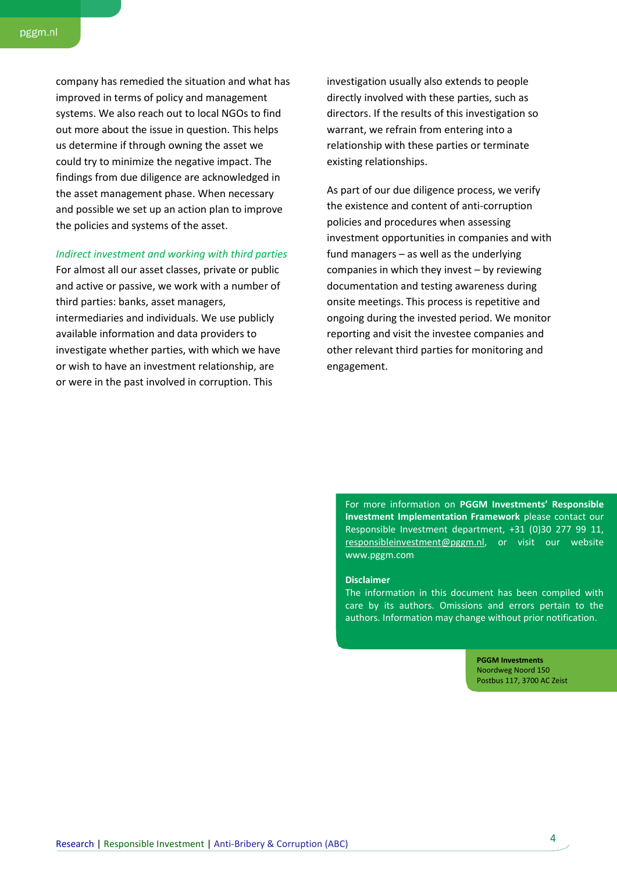company has remedied the situation and what has improved in terms of policy and management systems. We also reach out to local NGOs to find out more about the issue in question. This helps us determine if through owning the asset we could try to minimize the negative impact. The findings from due diligence are acknowledged in the asset management phase. When necessary and possible we set up an action plan to improve the policies and systems of the asset.

#### *Indirect investment and working with third parties*

For almost all our asset classes, private or public and active or passive, we work with a number of third parties: banks, asset managers, intermediaries and individuals. We use publicly available information and data providers to investigate whether parties, with which we have or wish to have an investment relationship, are or were in the past involved in corruption. This

investigation usually also extends to people directly involved with these parties, such as directors. If the results of this investigation so warrant, we refrain from entering into a relationship with these parties or terminate existing relationships.

As part of our due diligence process, we verify the existence and content of anti-corruption policies and procedures when assessing investment opportunities in companies and with fund managers – as well as the underlying companies in which they invest – by reviewing documentation and testing awareness during onsite meetings. This process is repetitive and ongoing during the invested period. We monitor reporting and visit the investee companies and other relevant third parties for monitoring and engagement.

For more information on **PGGM Investments' Responsible Investment Implementation Framework** please contact our Responsible Investment department, +31 (0)30 277 99 11, [responsibleinvestment@pggm.nl,](mailto:responsibleinvestment@pggm.nl) or visit our w[e](http://www.pggm.com/)bsite [www.pggm.com](http://www.pggm.com/)

#### **Disclaimer**

The information in this document has been compiled with care by its authors. Omissions and errors pertain to the authors. Information may change without prior notification.

> **PGGM Investments** Noordweg Noord 150 Postbus 117, 3700 AC Zeist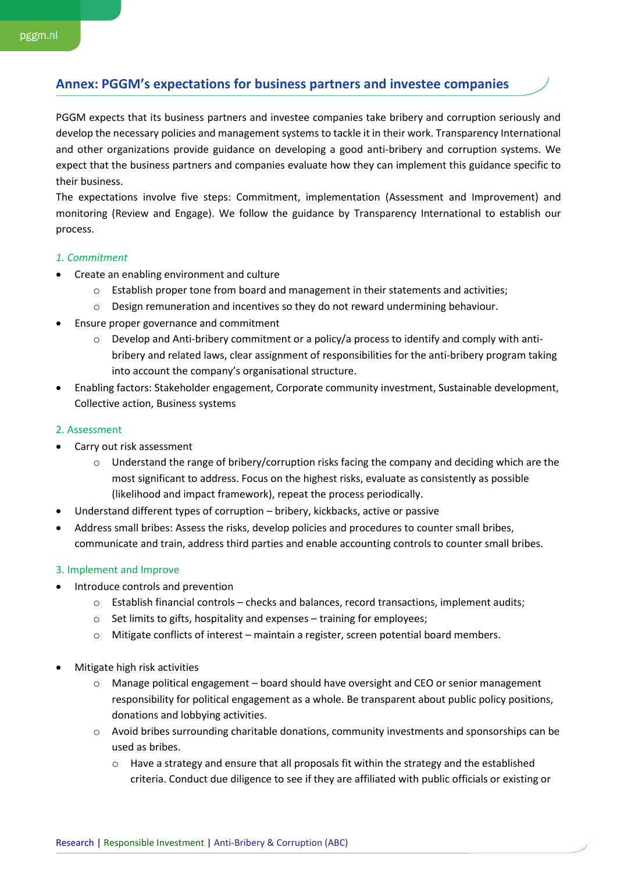# **Annex: PGGM's expectations for business partners and investee companies**

PGGM expects that its business partners and investee companies take bribery and corruption seriously and develop the necessary policies and management systems to tackle it in their work. Transparency International and other organizations provide guidance on developing a good anti-bribery and corruption systems. We expect that the business partners and companies evaluate how they can implement this guidance specific to their business.

The expectations involve five steps: Commitment, implementation (Assessment and Improvement) and monitoring (Review and Engage). We follow the guidance by Transparency International to establish our process.

#### *1. Commitment*

- Create an enabling environment and culture
	- o Establish proper tone from board and management in their statements and activities;
	- o Design remuneration and incentives so they do not reward undermining behaviour.
- Ensure proper governance and commitment
	- $\circ$  Develop and Anti-bribery commitment or a policy/a process to identify and comply with antibribery and related laws, clear assignment of responsibilities for the anti-bribery program taking into account the company's organisational structure.
- Enabling factors: Stakeholder engagement, Corporate community investment, Sustainable development, Collective action, Business systems

#### 2. Assessment

- Carry out risk assessment
	- $\circ$  Understand the range of bribery/corruption risks facing the company and deciding which are the most significant to address. Focus on the highest risks, evaluate as consistently as possible (likelihood and impact framework), repeat the process periodically.
- Understand different types of corruption bribery, kickbacks, active or passive
- Address small bribes: Assess the risks, develop policies and procedures to counter small bribes, communicate and train, address third parties and enable accounting controls to counter small bribes.

## 3. Implement and Improve

- Introduce controls and prevention
	- o Establish financial controls checks and balances, record transactions, implement audits;
	- o Set limits to gifts, hospitality and expenses training for employees;
	- o Mitigate conflicts of interest maintain a register, screen potential board members.
- Mitigate high risk activities
	- o Manage political engagement board should have oversight and CEO or senior management responsibility for political engagement as a whole. Be transparent about public policy positions, donations and lobbying activities.
	- o Avoid bribes surrounding charitable donations, community investments and sponsorships can be used as bribes.
		- o Have a strategy and ensure that all proposals fit within the strategy and the established criteria. Conduct due diligence to see if they are affiliated with public officials or existing or